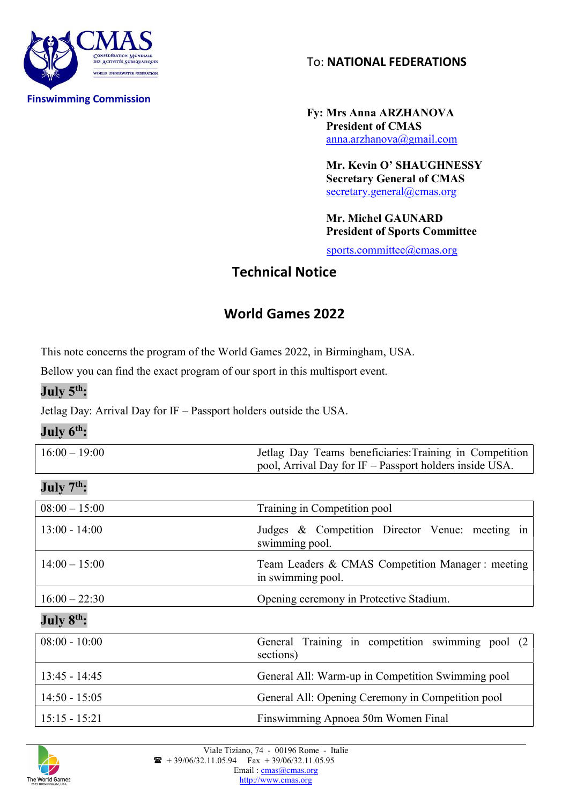

To: NATIONAL FEDERATIONS

 Fy: Mrs Anna ARZHANOVA President of CMAS anna.arzhanova@gmail.com

> Mr. Kevin Ο' SHAUGHNESSY Secretary General of CMAS secretary.general@cmas.org

 Mr. Michel GAUNARD President of Sports Committee

sports.committee@cmas.org

## Technical Notice

## World Games 2022

This note concerns the program of the World Games 2022, in Birmingham, USA.

Bellow you can find the exact program of our sport in this multisport event.

#### July 5<sup>th</sup>:

Jetlag Day: Arrival Day for IF – Passport holders outside the USA.

#### July 6<sup>th</sup>:

| $16:00 - 19:00$ | Jetlag Day Teams beneficiaries: Training in Competition |
|-----------------|---------------------------------------------------------|
|                 | pool, Arrival Day for IF – Passport holders inside USA. |

### $Julv 7<sup>th</sup>$ :

| $08:00 - 15:00$ | Training in Competition pool                                          |
|-----------------|-----------------------------------------------------------------------|
| $13:00 - 14:00$ | Judges & Competition Director Venue: meeting in<br>swimming pool.     |
| $14:00 - 15:00$ | Team Leaders & CMAS Competition Manager: meeting<br>in swimming pool. |
| $16:00 - 22:30$ | Opening ceremony in Protective Stadium.                               |
| July $8th$ :    |                                                                       |
| $08:00 - 10:00$ | General Training in competition swimming pool<br>(2)<br>sections)     |
| $13:45 - 14:45$ | General All: Warm-up in Competition Swimming pool                     |
| $14:50 - 15:05$ | General All: Opening Ceremony in Competition pool                     |
| $15:15 - 15:21$ | Finswimming Apnoea 50m Women Final                                    |

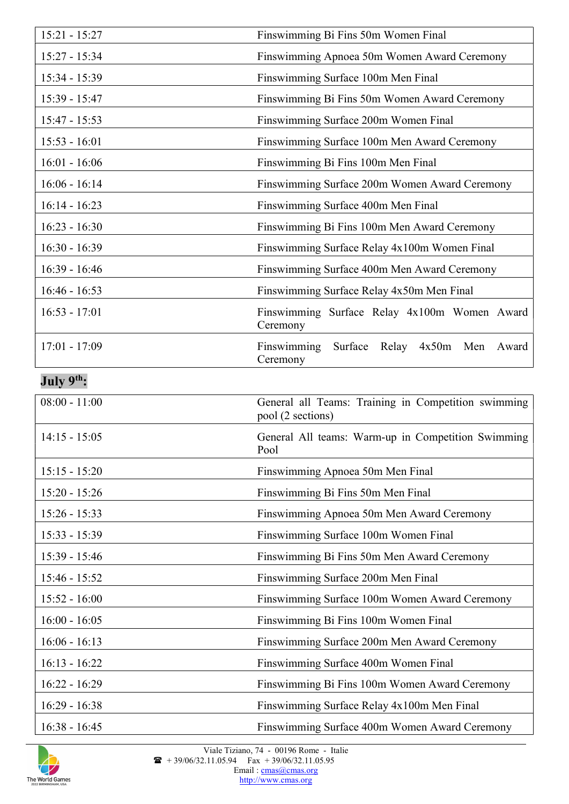| $15:21 - 15:27$        | Finswimming Bi Fins 50m Women Final                                      |
|------------------------|--------------------------------------------------------------------------|
| 15:27 - 15:34          | Finswimming Apnoea 50m Women Award Ceremony                              |
| $15:34 - 15:39$        | Finswimming Surface 100m Men Final                                       |
| 15:39 - 15:47          | Finswimming Bi Fins 50m Women Award Ceremony                             |
| $15:47 - 15:53$        | Finswimming Surface 200m Women Final                                     |
| $15:53 - 16:01$        | Finswimming Surface 100m Men Award Ceremony                              |
| $16:01 - 16:06$        | Finswimming Bi Fins 100m Men Final                                       |
| $16:06 - 16:14$        | Finswimming Surface 200m Women Award Ceremony                            |
| $16:14 - 16:23$        | Finswimming Surface 400m Men Final                                       |
| $16:23 - 16:30$        | Finswimming Bi Fins 100m Men Award Ceremony                              |
| $16:30 - 16:39$        | Finswimming Surface Relay 4x100m Women Final                             |
| $16:39 - 16:46$        | Finswimming Surface 400m Men Award Ceremony                              |
| $16:46 - 16:53$        | Finswimming Surface Relay 4x50m Men Final                                |
| $16:53 - 17:01$        | Finswimming Surface Relay 4x100m Women Award<br>Ceremony                 |
| $17:01 - 17:09$        | Finswimming Surface<br>Relay 4x50m Men<br>Award<br>Ceremony              |
| July 9 <sup>th</sup> : |                                                                          |
| $08:00 - 11:00$        | General all Teams: Training in Competition swimming<br>pool (2 sections) |
| $14:15 - 15:05$        | General All teams: Warm-up in Competition Swimming<br>Pool               |
| $15:15 - 15:20$        | Finswimming Apnoea 50m Men Final                                         |
| $15:20 - 15:26$        | Finswimming Bi Fins 50m Men Final                                        |
| $15:26 - 15:33$        | Finswimming Apnoea 50m Men Award Ceremony                                |
| $15:33 - 15:39$        | Finswimming Surface 100m Women Final                                     |
| $15:39 - 15:46$        | Finswimming Bi Fins 50m Men Award Ceremony                               |
| $15:46 - 15:52$        | Finswimming Surface 200m Men Final                                       |
| $15:52 - 16:00$        | Finswimming Surface 100m Women Award Ceremony                            |
| $16:00 - 16:05$        | Finswimming Bi Fins 100m Women Final                                     |
| $16:06 - 16:13$        | Finswimming Surface 200m Men Award Ceremony                              |
| $16:13 - 16:22$        | Finswimming Surface 400m Women Final                                     |
| $16:22 - 16:29$        | Finswimming Bi Fins 100m Women Award Ceremony                            |
| $16:29 - 16:38$        | Finswimming Surface Relay 4x100m Men Final                               |
| $16:38 - 16:45$        | Finswimming Surface 400m Women Award Ceremony                            |